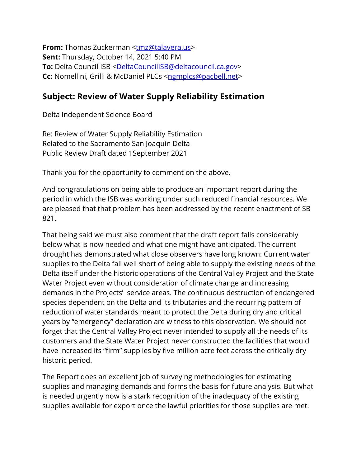**From:** Thomas Zuckerman [<tmz@talavera.us>](tmz@talavera.us) **Sent:** Thursday, October 14, 2021 5:40 PM To: Delta Council ISB [<DeltaCouncilISB@deltacouncil.ca.gov>](mailto:DeltaCouncilISB@deltacouncil.ca.gov) **Cc:** Nomellini, Grilli & McDaniel PLCs [<ngmplcs@pacbell.net>](mailto:ngmplcs@pacbell.net)

## **Subject: Review of Water Supply Reliability Estimation**

Delta Independent Science Board

Re: Review of Water Supply Reliability Estimation Related to the Sacramento San Joaquin Delta Public Review Draft dated 1September 2021

Thank you for the opportunity to comment on the above.

And congratulations on being able to produce an important report during the period in which the ISB was working under such reduced financial resources. We are pleased that that problem has been addressed by the recent enactment of SB 821.

That being said we must also comment that the draft report falls considerably below what is now needed and what one might have anticipated. The current drought has demonstrated what close observers have long known: Current water supplies to the Delta fall well short of being able to supply the existing needs of the Delta itself under the historic operations of the Central Valley Project and the State Water Project even without consideration of climate change and increasing demands in the Projects' service areas. The continuous destruction of endangered species dependent on the Delta and its tributaries and the recurring pattern of reduction of water standards meant to protect the Delta during dry and critical years by "emergency" declaration are witness to this observation. We should not forget that the Central Valley Project never intended to supply all the needs of its customers and the State Water Project never constructed the facilities that would have increased its "firm" supplies by five million acre feet across the critically dry historic period.

The Report does an excellent job of surveying methodologies for estimating supplies and managing demands and forms the basis for future analysis. But what is needed urgently now is a stark recognition of the inadequacy of the existing supplies available for export once the lawful priorities for those supplies are met.